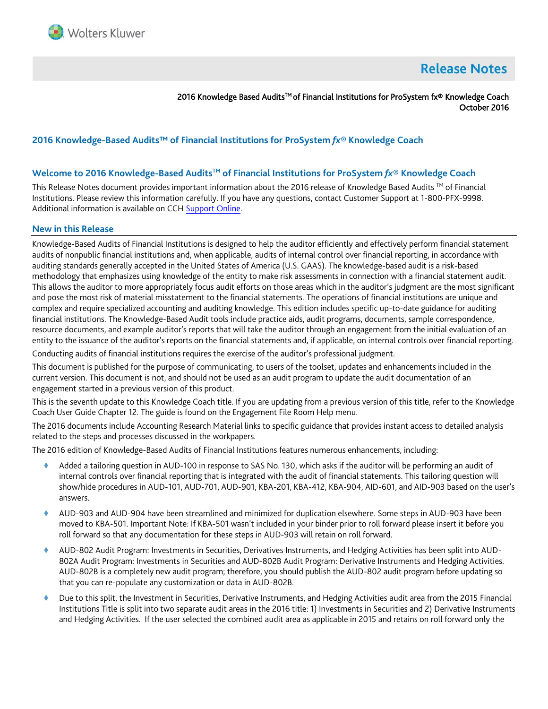

# **Release Notes**

2016 Knowledge Based Audits™ of Financial Institutions for ProSystem fx® Knowledge Coach October 2016

# **2016 Knowledge-Based Audits™ of Financial Institutions for ProSystem** *fx***® Knowledge Coach**

## **Welcome to 2016 Knowledge-Based AuditsTM of Financial Institutions for ProSystem** *fx***® Knowledge Coach**

This Release Notes document provides important information about the 2016 release of Knowledge Based Audits  $TM$  of Financial Institutions. Please review this information carefully. If you have any questions, contact Customer Support at 1-800-PFX-9998. Additional information is available on CCH [Support Online.](http://support.cch.com/productsupport/)

#### **New in this Release**

Knowledge-Based Audits of Financial Institutions is designed to help the auditor efficiently and effectively perform financial statement audits of nonpublic financial institutions and, when applicable, audits of internal control over financial reporting, in accordance with auditing standards generally accepted in the United States of America (U.S. GAAS). The knowledge-based audit is a risk-based methodology that emphasizes using knowledge of the entity to make risk assessments in connection with a financial statement audit. This allows the auditor to more appropriately focus audit efforts on those areas which in the auditor's judgment are the most significant and pose the most risk of material misstatement to the financial statements. The operations of financial institutions are unique and complex and require specialized accounting and auditing knowledge. This edition includes specific up-to-date guidance for auditing financial institutions. The Knowledge-Based Audit tools include practice aids, audit programs, documents, sample correspondence, resource documents, and example auditor's reports that will take the auditor through an engagement from the initial evaluation of an entity to the issuance of the auditor's reports on the financial statements and, if applicable, on internal controls over financial reporting.

Conducting audits of financial institutions requires the exercise of the auditor's professional judgment.

This document is published for the purpose of communicating, to users of the toolset, updates and enhancements included in the current version. This document is not, and should not be used as an audit program to update the audit documentation of an engagement started in a previous version of this product.

This is the seventh update to this Knowledge Coach title. If you are updating from a previous version of this title, refer to the Knowledge Coach User Guide Chapter 12. The guide is found on the Engagement File Room Help menu.

The 2016 documents include Accounting Research Material links to specific guidance that provides instant access to detailed analysis related to the steps and processes discussed in the workpapers.

The 2016 edition of Knowledge-Based Audits of Financial Institutions features numerous enhancements, including:

- Added a tailoring question in AUD-100 in response to SAS No. 130, which asks if the auditor will be performing an audit of internal controls over financial reporting that is integrated with the audit of financial statements. This tailoring question will show/hide procedures in AUD-101, AUD-701, AUD-901, KBA-201, KBA-412, KBA-904, AID-601, and AID-903 based on the user's answers.
- AUD-903 and AUD-904 have been streamlined and minimized for duplication elsewhere. Some steps in AUD-903 have been moved to KBA-501. Important Note: If KBA-501 wasn't included in your binder prior to roll forward please insert it before you roll forward so that any documentation for these steps in AUD-903 will retain on roll forward.
- AUD-802 Audit Program: Investments in Securities, Derivatives Instruments, and Hedging Activities has been split into AUD-802A Audit Program: Investments in Securities and AUD-802B Audit Program: Derivative Instruments and Hedging Activities. AUD-802B is a completely new audit program; therefore, you should publish the AUD-802 audit program before updating so that you can re-populate any customization or data in AUD-802B.
- Due to this split, the Investment in Securities, Derivative Instruments, and Hedging Activities audit area from the 2015 Financial Institutions Title is split into two separate audit areas in the 2016 title: 1) Investments in Securities and 2) Derivative Instruments and Hedging Activities. If the user selected the combined audit area as applicable in 2015 and retains on roll forward only the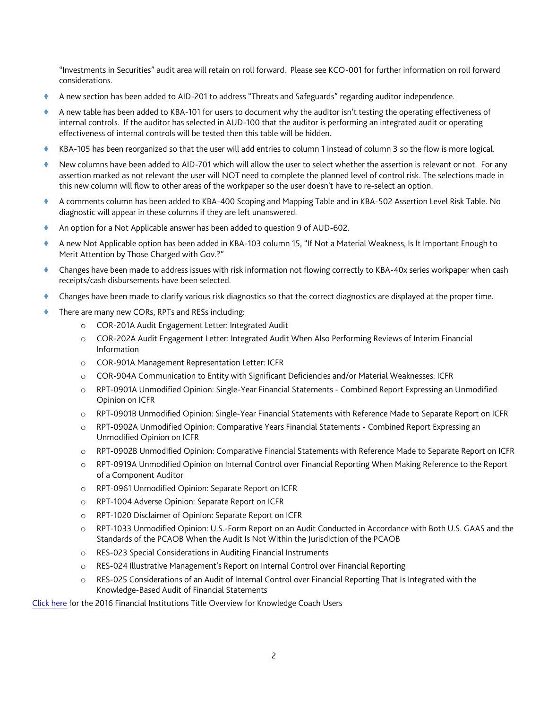"Investments in Securities" audit area will retain on roll forward. Please see KCO-001 for further information on roll forward considerations.

- A new section has been added to AID-201 to address "Threats and Safeguards" regarding auditor independence.
- A new table has been added to KBA-101 for users to document why the auditor isn't testing the operating effectiveness of internal controls. If the auditor has selected in AUD-100 that the auditor is performing an integrated audit or operating effectiveness of internal controls will be tested then this table will be hidden.
- KBA-105 has been reorganized so that the user will add entries to column 1 instead of column 3 so the flow is more logical.
- New columns have been added to AID-701 which will allow the user to select whether the assertion is relevant or not. For any assertion marked as not relevant the user will NOT need to complete the planned level of control risk. The selections made in this new column will flow to other areas of the workpaper so the user doesn't have to re-select an option.
- A comments column has been added to KBA-400 Scoping and Mapping Table and in KBA-502 Assertion Level Risk Table. No diagnostic will appear in these columns if they are left unanswered.
- An option for a Not Applicable answer has been added to question 9 of AUD-602.
- A new Not Applicable option has been added in KBA-103 column 15, "If Not a Material Weakness, Is It Important Enough to Merit Attention by Those Charged with Gov.?"
- Changes have been made to address issues with risk information not flowing correctly to KBA-40x series workpaper when cash receipts/cash disbursements have been selected.
- Changes have been made to clarify various risk diagnostics so that the correct diagnostics are displayed at the proper time.
- There are many new CORs, RPTs and RESs including:
	- o COR-201A Audit Engagement Letter: Integrated Audit
	- o COR-202A Audit Engagement Letter: Integrated Audit When Also Performing Reviews of Interim Financial Information
	- o COR-901A Management Representation Letter: ICFR
	- o COR-904A Communication to Entity with Significant Deficiencies and/or Material Weaknesses: ICFR
	- o RPT-0901A Unmodified Opinion: Single-Year Financial Statements Combined Report Expressing an Unmodified Opinion on ICFR
	- o RPT-0901B Unmodified Opinion: Single-Year Financial Statements with Reference Made to Separate Report on ICFR
	- o RPT-0902A Unmodified Opinion: Comparative Years Financial Statements Combined Report Expressing an Unmodified Opinion on ICFR
	- o RPT-0902B Unmodified Opinion: Comparative Financial Statements with Reference Made to Separate Report on ICFR
	- o RPT-0919A Unmodified Opinion on Internal Control over Financial Reporting When Making Reference to the Report of a Component Auditor
	- o RPT-0961 Unmodified Opinion: Separate Report on ICFR
	- o RPT-1004 Adverse Opinion: Separate Report on ICFR
	- o RPT-1020 Disclaimer of Opinion: Separate Report on ICFR
	- o RPT-1033 Unmodified Opinion: U.S.-Form Report on an Audit Conducted in Accordance with Both U.S. GAAS and the Standards of the PCAOB When the Audit Is Not Within the Jurisdiction of the PCAOB
	- o RES-023 Special Considerations in Auditing Financial Instruments
	- o RES-024 Illustrative Management's Report on Internal Control over Financial Reporting
	- o RES-025 Considerations of an Audit of Internal Control over Financial Reporting That Is Integrated with the Knowledge-Based Audit of Financial Statements

[Click here](http://support.cch.com/updates/KnowledgeCoach/pdf/guides_tab/2016%20Financial%20Institutions%20Title%20Overview%20for%20Knowledge%20Coach%20Users.pdf) for the 2016 Financial Institutions Title Overview for Knowledge Coach Users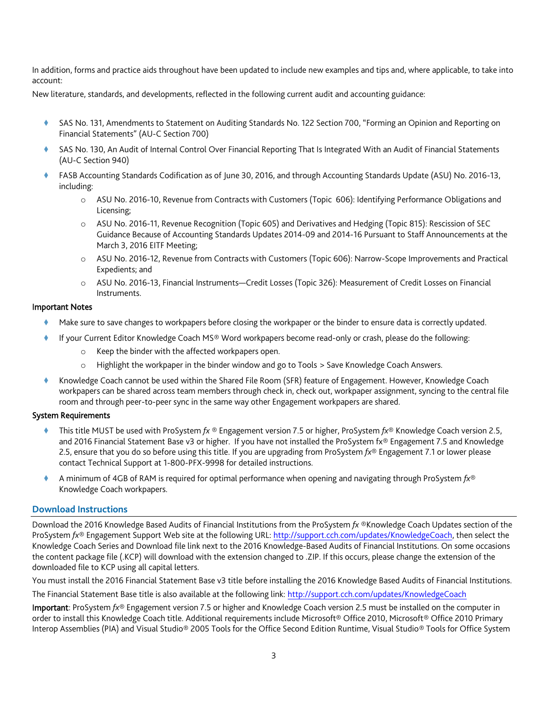In addition, forms and practice aids throughout have been updated to include new examples and tips and, where applicable, to take into account:

New literature, standards, and developments, reflected in the following current audit and accounting guidance:

- SAS No. 131, Amendments to Statement on Auditing Standards No. 122 Section 700, "Forming an Opinion and Reporting on Financial Statements" (AU-C Section 700)
- SAS No. 130, An Audit of Internal Control Over Financial Reporting That Is Integrated With an Audit of Financial Statements (AU-C Section 940)
- FASB Accounting Standards Codification as of June 30, 2016, and through Accounting Standards Update (ASU) No. 2016-13, including:
	- o ASU No. 2016-10, Revenue from Contracts with Customers (Topic 606): Identifying Performance Obligations and Licensing;
	- o ASU No. 2016-11, Revenue Recognition (Topic 605) and Derivatives and Hedging (Topic 815): Rescission of SEC Guidance Because of Accounting Standards Updates 2014-09 and 2014-16 Pursuant to Staff Announcements at the March 3, 2016 EITF Meeting;
	- o ASU No. 2016-12, Revenue from Contracts with Customers (Topic 606): Narrow-Scope Improvements and Practical Expedients; and
	- o ASU No. 2016-13, Financial Instruments—Credit Losses (Topic 326): Measurement of Credit Losses on Financial Instruments.

## Important Notes

- Make sure to save changes to workpapers before closing the workpaper or the binder to ensure data is correctly updated.
	- If your Current Editor Knowledge Coach MS® Word workpapers become read-only or crash, please do the following:
		- o Keep the binder with the affected workpapers open.
		- o Highlight the workpaper in the binder window and go to Tools > Save Knowledge Coach Answers.
- Knowledge Coach cannot be used within the Shared File Room (SFR) feature of Engagement. However, Knowledge Coach workpapers can be shared across team members through check in, check out, workpaper assignment, syncing to the central file room and through peer-to-peer sync in the same way other Engagement workpapers are shared.

# System Requirements

- This title MUST be used with ProSystem *fx* ® Engagement version 7.5 or higher, ProSystem *fx*® Knowledge Coach version 2.5, and 2016 Financial Statement Base v3 or higher. If you have not installed the ProSystem fx® Engagement 7.5 and Knowledge 2.5, ensure that you do so before using this title. If you are upgrading from ProSystem *fx*® Engagement 7.1 or lower please contact Technical Support at 1-800-PFX-9998 for detailed instructions.
- A minimum of 4GB of RAM is required for optimal performance when opening and navigating through ProSystem *fx*® Knowledge Coach workpapers.

# **Download Instructions**

Download the 2016 Knowledge Based Audits of Financial Institutions from the ProSystem *fx* ®Knowledge Coach Updates section of the ProSystem *fx*® Engagement Support Web site at the following URL[: http://support.cch.com/updates/KnowledgeCoach,](http://support.cch.com/updates/KnowledgeCoach) then select the Knowledge Coach Series and Download file link next to the 2016 Knowledge-Based Audits of Financial Institutions. On some occasions the content package file (.KCP) will download with the extension changed to .ZIP. If this occurs, please change the extension of the downloaded file to KCP using all capital letters.

You must install the 2016 Financial Statement Base v3 title before installing the 2016 Knowledge Based Audits of Financial Institutions.

The Financial Statement Base title is also available at the following link:<http://support.cch.com/updates/KnowledgeCoach>

Important: ProSystem *fx*® Engagement version 7.5 or higher and Knowledge Coach version 2.5 must be installed on the computer in order to install this Knowledge Coach title. Additional requirements include Microsoft® Office 2010, Microsoft® Office 2010 Primary Interop Assemblies (PIA) and Visual Studio® 2005 Tools for the Office Second Edition Runtime, Visual Studio® Tools for Office System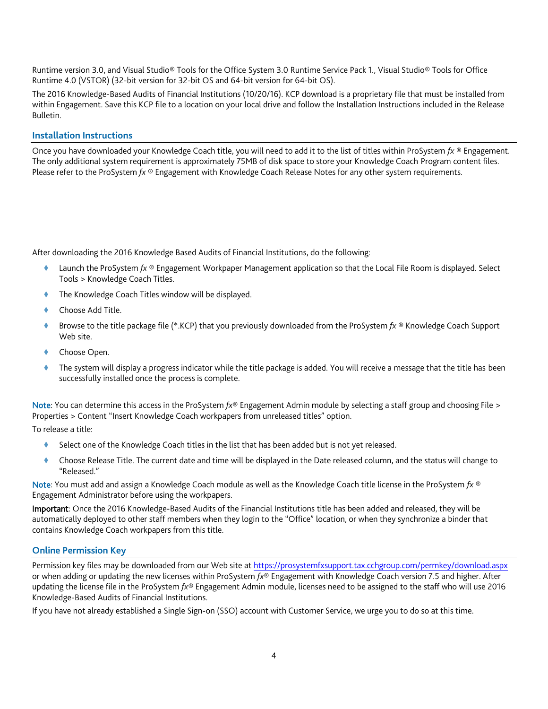Runtime version 3.0, and Visual Studio® Tools for the Office System 3.0 Runtime Service Pack 1., Visual Studio® Tools for Office Runtime 4.0 (VSTOR) (32-bit version for 32-bit OS and 64-bit version for 64-bit OS).

The 2016 Knowledge-Based Audits of Financial Institutions (10/20/16). KCP download is a proprietary file that must be installed from within Engagement. Save this KCP file to a location on your local drive and follow the Installation Instructions included in the Release Bulletin.

## **Installation Instructions**

Once you have downloaded your Knowledge Coach title, you will need to add it to the list of titles within ProSystem *fx* ® Engagement. The only additional system requirement is approximately 75MB of disk space to store your Knowledge Coach Program content files. Please refer to the ProSystem *fx* ® Engagement with Knowledge Coach Release Notes for any other system requirements.

After downloading the 2016 Knowledge Based Audits of Financial Institutions, do the following:

- Launch the ProSystem *fx* ® Engagement Workpaper Management application so that the Local File Room is displayed. Select Tools > Knowledge Coach Titles.
- The Knowledge Coach Titles window will be displayed.
- Choose Add Title.
- Browse to the title package file (\*.KCP) that you previously downloaded from the ProSystem *fx* ® Knowledge Coach Support Web site.
- Choose Open.
- The system will display a progress indicator while the title package is added. You will receive a message that the title has been successfully installed once the process is complete.

Note: You can determine this access in the ProSystem *fx*® Engagement Admin module by selecting a staff group and choosing File > Properties > Content "Insert Knowledge Coach workpapers from unreleased titles" option.

To release a title:

- Select one of the Knowledge Coach titles in the list that has been added but is not yet released.
- Choose Release Title. The current date and time will be displayed in the Date released column, and the status will change to "Released."

Note: You must add and assign a Knowledge Coach module as well as the Knowledge Coach title license in the ProSystem *fx* ® Engagement Administrator before using the workpapers.

Important: Once the 2016 Knowledge-Based Audits of the Financial Institutions title has been added and released, they will be automatically deployed to other staff members when they login to the "Office" location, or when they synchronize a binder that contains Knowledge Coach workpapers from this title.

## **Online Permission Key**

Permission key files may be downloaded from our Web site a[t https://prosystemfxsupport.tax.cchgroup.com/permkey/download.aspx](https://prosystemfxsupport.tax.cchgroup.com/permkey/download.aspx) or when adding or updating the new licenses within ProSystem *fx*® Engagement with Knowledge Coach version 7.5 and higher. After updating the license file in the ProSystem *fx*® Engagement Admin module, licenses need to be assigned to the staff who will use 2016 Knowledge-Based Audits of Financial Institutions.

If you have not already established a Single Sign-on (SSO) account with Customer Service, we urge you to do so at this time.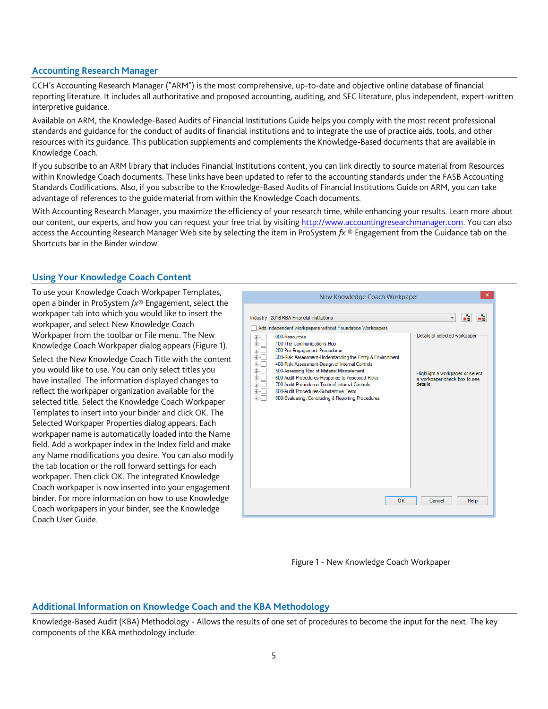## **Accounting Research Manager**

CCH's Accounting Research Manager ("ARM") is the most comprehensive, up-to-date and objective online database of financial reporting literature. It includes all authoritative and proposed accounting, auditing, and SEC literature, plus independent, expert-written interpretive guidance.

Available on ARM, the Knowledge-Based Audits of Financial Institutions Guide helps you comply with the most recent professional standards and guidance for the conduct of audits of financial institutions and to integrate the use of practice aids, tools, and other resources with its guidance. This publication supplements and complements the Knowledge-Based documents that are available in Knowledge Coach.

If you subscribe to an ARM library that includes Financial Institutions content, you can link directly to source material from Resources within Knowledge Coach documents. These links have been updated to refer to the accounting standards under the FASB Accounting Standards Codifications. Also, if you subscribe to the Knowledge-Based Audits of Financial Institutions Guide on ARM, you can take advantage of references to the guide material from within the Knowledge Coach documents.

With Accounting Research Manager, you maximize the efficiency of your research time, while enhancing your results. Learn more about our content, our experts, and how you can request your free trial by visiting [http://www.accountingresearchmanager.com.](http://www.accountingresearchmanager.com/) You can also access the Accounting Research Manager Web site by selecting the item in ProSystem *fx* ® Engagement from the Guidance tab on the Shortcuts bar in the Binder window.

# **Using Your Knowledge Coach Content**

To use your Knowledge Coach Workpaper Templates, open a binder in ProSystem *fx*® Engagement, select the workpaper tab into which you would like to insert the workpaper, and select New Knowledge Coach Workpaper from the toolbar or File menu. The New Knowledge Coach Workpaper dialog appears (Figure 1).

Select the New Knowledge Coach Title with the content you would like to use. You can only select titles you have installed. The information displayed changes to reflect the workpaper organization available for the selected title. Select the Knowledge Coach Workpaper Templates to insert into your binder and click OK. The Selected Workpaper Properties dialog appears. Each workpaper name is automatically loaded into the Name field. Add a workpaper index in the Index field and make any Name modifications you desire. You can also modify the tab location or the roll forward settings for each workpaper. Then click OK. The integrated Knowledge Coach workpaper is now inserted into your engagement binder. For more information on how to use Knowledge Coach workpapers in your binder, see the Knowledge Coach User Guide.





## **Additional Information on Knowledge Coach and the KBA Methodology**

Knowledge-Based Audit (KBA) Methodology - Allows the results of one set of procedures to become the input for the next. The key components of the KBA methodology include: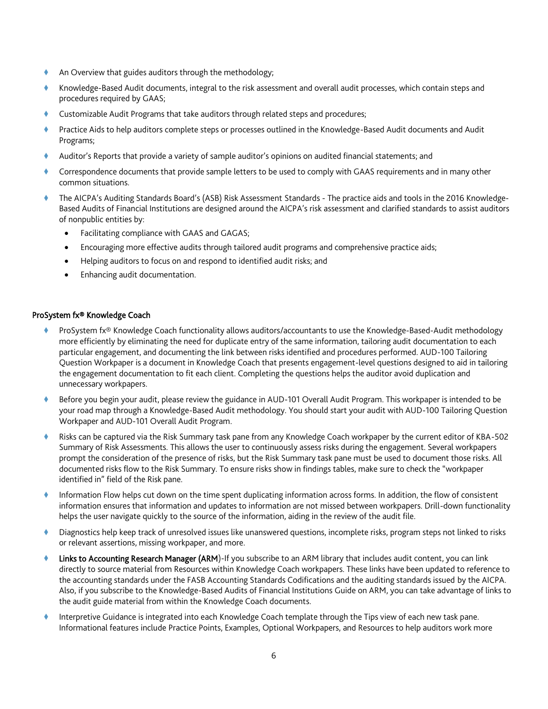- An Overview that guides auditors through the methodology;
- Knowledge-Based Audit documents, integral to the risk assessment and overall audit processes, which contain steps and procedures required by GAAS;
- Customizable Audit Programs that take auditors through related steps and procedures;
- Practice Aids to help auditors complete steps or processes outlined in the Knowledge-Based Audit documents and Audit Programs;
- Auditor's Reports that provide a variety of sample auditor's opinions on audited financial statements; and
- Correspondence documents that provide sample letters to be used to comply with GAAS requirements and in many other common situations.
- The AICPA's Auditing Standards Board's (ASB) Risk Assessment Standards The practice aids and tools in the 2016 Knowledge-Based Audits of Financial Institutions are designed around the AICPA's risk assessment and clarified standards to assist auditors of nonpublic entities by:
	- Facilitating compliance with GAAS and GAGAS;
	- Encouraging more effective audits through tailored audit programs and comprehensive practice aids;
	- Helping auditors to focus on and respond to identified audit risks; and
	- Enhancing audit documentation.

## ProSystem fx® Knowledge Coach

- ProSystem fx® Knowledge Coach functionality allows auditors/accountants to use the Knowledge-Based-Audit methodology more efficiently by eliminating the need for duplicate entry of the same information, tailoring audit documentation to each particular engagement, and documenting the link between risks identified and procedures performed. AUD-100 Tailoring Question Workpaper is a document in Knowledge Coach that presents engagement-level questions designed to aid in tailoring the engagement documentation to fit each client. Completing the questions helps the auditor avoid duplication and unnecessary workpapers.
- Before you begin your audit, please review the guidance in AUD-101 Overall Audit Program. This workpaper is intended to be your road map through a Knowledge-Based Audit methodology. You should start your audit with AUD-100 Tailoring Question Workpaper and AUD-101 Overall Audit Program.
- Risks can be captured via the Risk Summary task pane from any Knowledge Coach workpaper by the current editor of KBA-502 Summary of Risk Assessments. This allows the user to continuously assess risks during the engagement. Several workpapers prompt the consideration of the presence of risks, but the Risk Summary task pane must be used to document those risks. All documented risks flow to the Risk Summary. To ensure risks show in findings tables, make sure to check the "workpaper identified in" field of the Risk pane.
- Information Flow helps cut down on the time spent duplicating information across forms. In addition, the flow of consistent information ensures that information and updates to information are not missed between workpapers. Drill-down functionality helps the user navigate quickly to the source of the information, aiding in the review of the audit file.
- Diagnostics help keep track of unresolved issues like unanswered questions, incomplete risks, program steps not linked to risks or relevant assertions, missing workpaper, and more.
- Links to Accounting Research Manager (ARM)-If you subscribe to an ARM library that includes audit content, you can link directly to source material from Resources within Knowledge Coach workpapers. These links have been updated to reference to the accounting standards under the FASB Accounting Standards Codifications and the auditing standards issued by the AICPA. Also, if you subscribe to the Knowledge-Based Audits of Financial Institutions Guide on ARM, you can take advantage of links to the audit guide material from within the Knowledge Coach documents.
- Interpretive Guidance is integrated into each Knowledge Coach template through the Tips view of each new task pane. Informational features include Practice Points, Examples, Optional Workpapers, and Resources to help auditors work more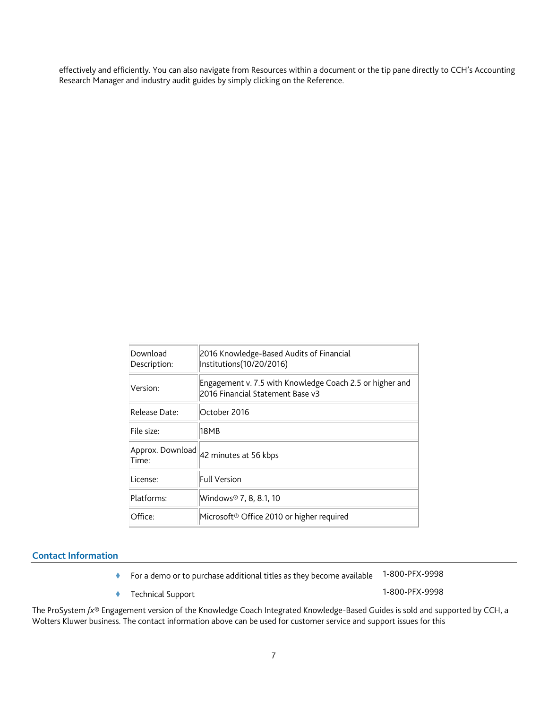effectively and efficiently. You can also navigate from Resources within a document or the tip pane directly to CCH's Accounting Research Manager and industry audit guides by simply clicking on the Reference.

| Download<br>Description:  | 2016 Knowledge-Based Audits of Financial<br>Institutions(10/20/2016)                         |
|---------------------------|----------------------------------------------------------------------------------------------|
| Version:                  | Engagement v. 7.5 with Knowledge Coach 2.5 or higher and<br>2016 Financial Statement Base v3 |
| Release Date:             | October 2016                                                                                 |
| File size:                | 18MB                                                                                         |
| Approx. Download<br>Time: | 42 minutes at 56 kbps                                                                        |
| License:                  | <b>Full Version</b>                                                                          |
| Platforms:                | Windows® 7, 8, 8.1, 10                                                                       |
| Office:                   | Microsoft <sup>®</sup> Office 2010 or higher required                                        |
|                           |                                                                                              |

# **Contact Information**

- For a demo or to purchase additional titles as they become available 1-800-PFX-9998
- Technical Support 1-800-PFX-9998

The ProSystem *fx*® Engagement version of the Knowledge Coach Integrated Knowledge-Based Guides is sold and supported by CCH, a Wolters Kluwer business. The contact information above can be used for customer service and support issues for this